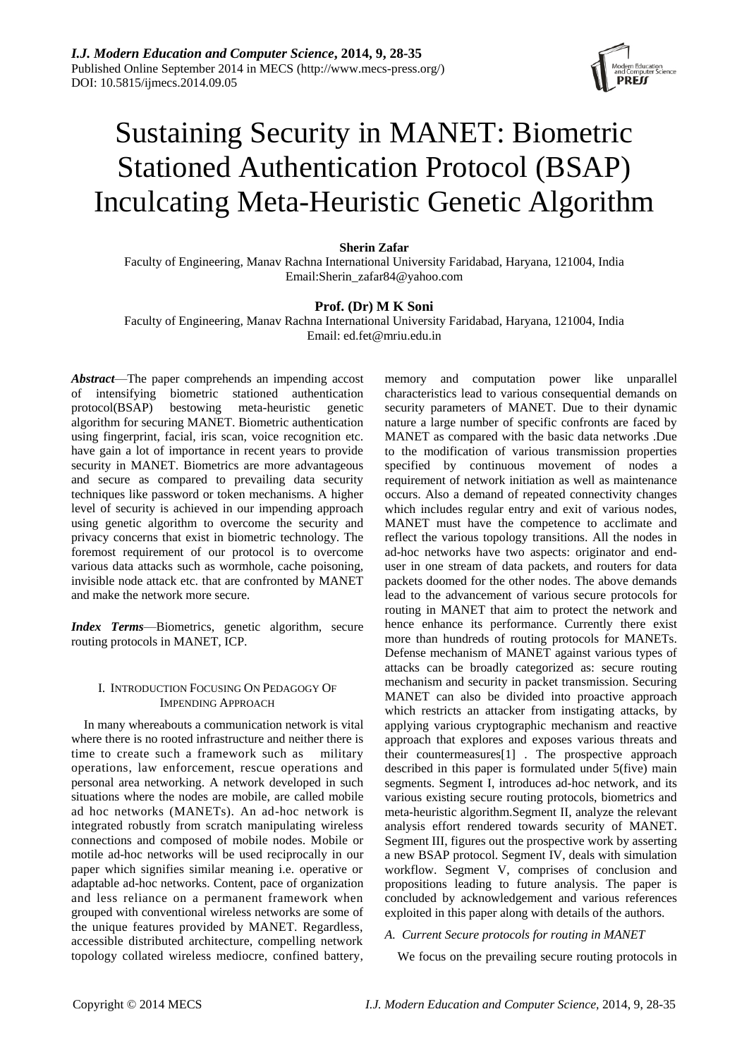

# Sustaining Security in MANET: Biometric Stationed Authentication Protocol (BSAP) Inculcating Meta-Heuristic Genetic Algorithm

#### **Sherin Zafar**

Faculty of Engineering, Manav Rachna International University Faridabad, Haryana, 121004, India Email:Sherin\_zafar84@yahoo.com

## **Prof. (Dr) M K Soni**

Faculty of Engineering, Manav Rachna International University Faridabad, Haryana, 121004, India Email: ed.fet@mriu.edu.in

*Abstract*—The paper comprehends an impending accost of intensifying biometric stationed authentication protocol(BSAP) bestowing meta-heuristic genetic algorithm for securing MANET. Biometric authentication using fingerprint, facial, iris scan, voice recognition etc. have gain a lot of importance in recent years to provide security in MANET. Biometrics are more advantageous and secure as compared to prevailing data security techniques like password or token mechanisms. A higher level of security is achieved in our impending approach using genetic algorithm to overcome the security and privacy concerns that exist in biometric technology. The foremost requirement of our protocol is to overcome various data attacks such as wormhole, cache poisoning, invisible node attack etc. that are confronted by MANET and make the network more secure.

*Index Terms*—Biometrics, genetic algorithm, secure routing protocols in MANET, ICP.

#### I. INTRODUCTION FOCUSING ON PEDAGOGY OF IMPENDING APPROACH

In many whereabouts a communication network is vital where there is no rooted infrastructure and neither there is time to create such a framework such as military operations, law enforcement, rescue operations and personal area networking. A network developed in such situations where the nodes are mobile, are called mobile ad hoc networks (MANETs). An ad-hoc network is integrated robustly from scratch manipulating wireless connections and composed of mobile nodes. Mobile or motile ad-hoc networks will be used reciprocally in our paper which signifies similar meaning i.e. operative or adaptable ad-hoc networks. Content, pace of organization and less reliance on a permanent framework when grouped with conventional wireless networks are some of the unique features provided by MANET. Regardless, accessible distributed architecture, compelling network topology collated wireless mediocre, confined battery,

memory and computation power like unparallel characteristics lead to various consequential demands on security parameters of MANET. Due to their dynamic nature a large number of specific confronts are faced by MANET as compared with the basic data networks .Due to the modification of various transmission properties specified by continuous movement of nodes a requirement of network initiation as well as maintenance occurs. Also a demand of repeated connectivity changes which includes regular entry and exit of various nodes, MANET must have the competence to acclimate and reflect the various topology transitions. All the nodes in ad-hoc networks have two aspects: originator and enduser in one stream of data packets, and routers for data packets doomed for the other nodes. The above demands lead to the advancement of various secure protocols for routing in MANET that aim to protect the network and hence enhance its performance. Currently there exist more than hundreds of routing protocols for MANETs. Defense mechanism of MANET against various types of attacks can be broadly categorized as: secure routing mechanism and security in packet transmission. Securing MANET can also be divided into proactive approach which restricts an attacker from instigating attacks, by applying various cryptographic mechanism and reactive approach that explores and exposes various threats and their countermeasures[1] . The prospective approach described in this paper is formulated under 5(five) main segments. Segment I, introduces ad-hoc network, and its various existing secure routing protocols, biometrics and meta-heuristic algorithm.Segment II, analyze the relevant analysis effort rendered towards security of MANET. Segment III, figures out the prospective work by asserting a new BSAP protocol. Segment IV, deals with simulation workflow. Segment V, comprises of conclusion and propositions leading to future analysis. The paper is concluded by acknowledgement and various references exploited in this paper along with details of the authors.

## *A. Current Secure protocols for routing in MANET*

We focus on the prevailing secure routing protocols in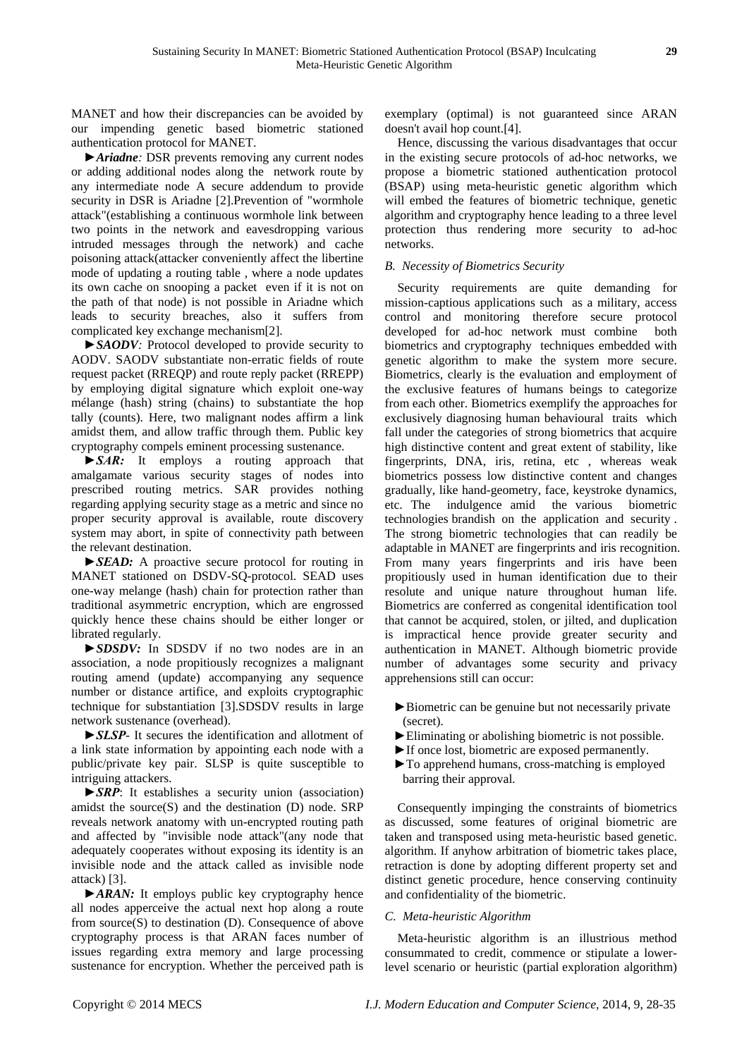MANET and how their discrepancies can be avoided by our impending genetic based biometric stationed authentication protocol for MANET.

*►Ariadne:* DSR prevents removing any current nodes or adding additional nodes along the network route by any intermediate node A secure addendum to provide security in DSR is Ariadne [2].Prevention of "wormhole attack"(establishing a continuous wormhole link between two points in the network and eavesdropping various intruded messages through the network) and cache poisoning attack(attacker conveniently affect the libertine mode of updating a routing table , where a node updates its own cache on snooping a packet even if it is not on the path of that node) is not possible in Ariadne which leads to security breaches, also it suffers from complicated key exchange mechanism[2].

*►SAODV:* Protocol developed to provide security to AODV. SAODV substantiate non-erratic fields of route request packet (RREQP) and route reply packet (RREPP) by employing digital signature which exploit one-way mélange (hash) string (chains) to substantiate the hop tally (counts). Here, two malignant nodes affirm a link amidst them, and allow traffic through them. Public key cryptography compels eminent processing sustenance.

*►SAR:* It employs a routing approach that amalgamate various security stages of nodes into prescribed routing metrics. SAR provides nothing regarding applying security stage as a metric and since no proper security approval is available, route discovery system may abort, in spite of connectivity path between the relevant destination.

*►SEAD:* A proactive secure protocol for routing in MANET stationed on DSDV-SQ-protocol. SEAD uses one-way melange (hash) chain for protection rather than traditional asymmetric encryption, which are engrossed quickly hence these chains should be either longer or librated regularly.

►*SDSDV:* In SDSDV if no two nodes are in an association, a node propitiously recognizes a malignant routing amend (update) accompanying any sequence number or distance artifice, and exploits cryptographic technique for substantiation [3].SDSDV results in large network sustenance (overhead).

*►SLSP*- It secures the identification and allotment of a link state information by appointing each node with a public/private key pair. SLSP is quite susceptible to intriguing attackers.

*►SRP*: It establishes a security union (association) amidst the source $(S)$  and the destination  $(D)$  node. SRP reveals network anatomy with un-encrypted routing path and affected by "invisible node attack"(any node that adequately cooperates without exposing its identity is an invisible node and the attack called as invisible node attack) [3].

►*ARAN:* It employs public key cryptography hence all nodes apperceive the actual next hop along a route from source(S) to destination (D). Consequence of above cryptography process is that ARAN faces number of issues regarding extra memory and large processing sustenance for encryption. Whether the perceived path is

exemplary (optimal) is not guaranteed since ARAN doesn't avail hop count.[4].

Hence, discussing the various disadvantages that occur in the existing secure protocols of ad-hoc networks, we propose a biometric stationed authentication protocol (BSAP) using meta-heuristic genetic algorithm which will embed the features of biometric technique, genetic algorithm and cryptography hence leading to a three level protection thus rendering more security to ad-hoc networks.

# *B. Necessity of Biometrics Security*

Security requirements are quite demanding for mission-captious applications such as a military, access control and monitoring therefore secure protocol developed for ad-hoc network must combine both biometrics and cryptography techniques embedded with genetic algorithm to make the system more secure. Biometrics, clearly is the evaluation and employment of the exclusive features of humans beings to categorize from each other. Biometrics exemplify the approaches for exclusively diagnosing human behavioural traits which fall under the categories of strong biometrics that acquire high distinctive content and great extent of stability, like fingerprints, DNA, iris, retina, etc , whereas weak biometrics possess low distinctive content and changes gradually, like hand-geometry, face, keystroke dynamics, etc. The indulgence amid the various biometric technologies brandish on the application and security . The strong biometric technologies that can readily be adaptable in MANET are fingerprints and iris recognition. From many years fingerprints and iris have been propitiously used in human identification due to their resolute and unique nature throughout human life. Biometrics are conferred as congenital identification tool that cannot be acquired, stolen, or jilted, and duplication is impractical hence provide greater security and authentication in MANET. Although biometric provide number of advantages some security and privacy apprehensions still can occur:

- ►Biometric can be genuine but not necessarily private (secret).
- ►Eliminating or abolishing biometric is not possible.
- ►If once lost, biometric are exposed permanently.
- ►To apprehend humans, cross-matching is employed barring their approval*.*

Consequently impinging the constraints of biometrics as discussed, some features of original biometric are taken and transposed using meta-heuristic based genetic. algorithm. If anyhow arbitration of biometric takes place, retraction is done by adopting different property set and distinct genetic procedure, hence conserving continuity and confidentiality of the biometric.

# *C. Meta-heuristic Algorithm*

Meta-heuristic algorithm is an illustrious method consummated to credit, commence or stipulate a lowerlevel scenario or heuristic (partial [exploration algorithm\)](http://en.wikipedia.org/wiki/Search_algorithm)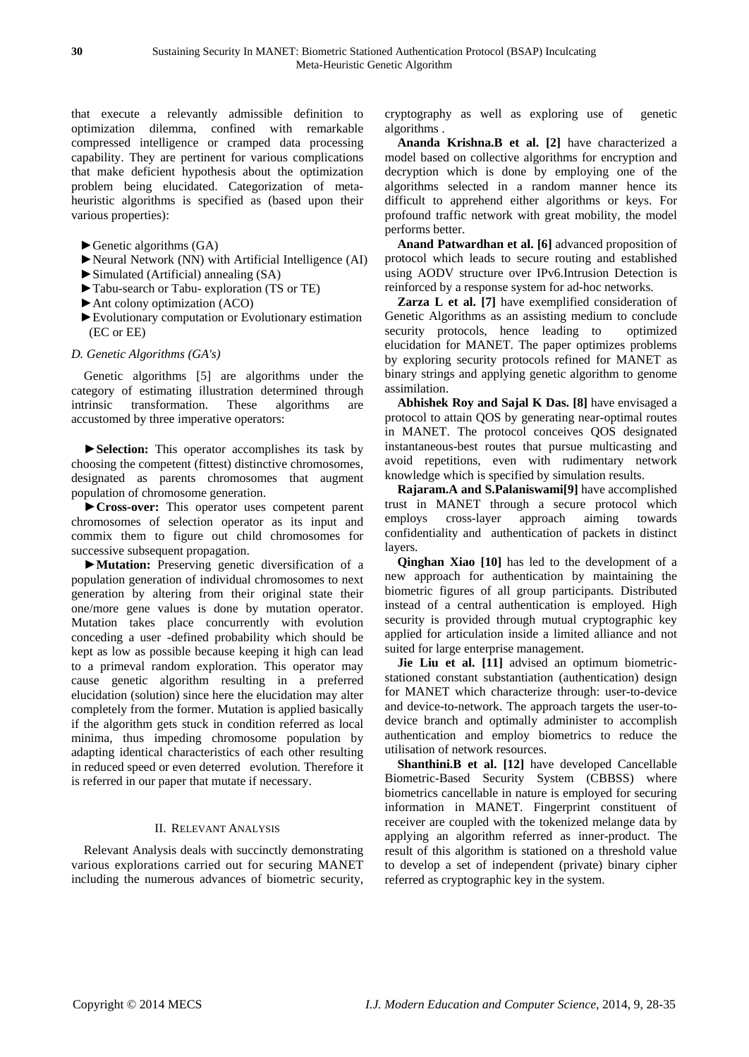that execute a relevantly admissible definition to optimization dilemma, confined with remarkable compressed intelligence or cramped data processing capability. They are pertinent for various complications that make deficient hypothesis about the optimization problem being elucidated. Categorization of metaheuristic algorithms is specified as (based upon their various properties):

- $\blacktriangleright$  Genetic algorithms (GA)
- ►Neural Network (NN) with Artificial Intelligence (AI)
- ►Simulated (Artificial) annealing (SA)
- ►Tabu-search or Tabu- exploration (TS or TE)
- [►Ant colony optimization](http://en.wikipedia.org/wiki/Ant_colony_optimization) (ACO)
- ►[Evolutionary computation](http://en.wikipedia.org/wiki/Evolutionary_computation) or Evolutionary estimation (EC or EE)

## *D. Genetic Algorithms (GA's)*

Genetic algorithms [5] are algorithms under the category of estimating illustration determined through intrinsic transformation. These algorithms are accustomed by three imperative operators:

►**Selection:** This operator accomplishes its task by choosing the competent (fittest) distinctive chromosomes, designated as parents chromosomes that augment population of chromosome generation.

►**Cross-over:** This operator uses competent parent chromosomes of selection operator as its input and commix them to figure out child chromosomes for successive subsequent propagation.

►**Mutation:** Preserving genetic diversification of a population generation of individual chromosomes to next generation by altering from their original state their one/more gene values is done by mutation operator. Mutation takes place concurrently with evolution conceding a user -defined probability which should be kept as low as possible because keeping it high can lead to a primeval random exploration. This operator may cause genetic algorithm resulting in a preferred elucidation (solution) since here the elucidation may alter completely from the former. Mutation is applied basically if the algorithm gets stuck in condition referred as local minima, thus impeding chromosome population by adapting identical characteristics of each other resulting in reduced speed or even deterred evolution. Therefore it is referred in our paper that mutate if necessary.

## II. RELEVANT ANALYSIS

Relevant Analysis deals with succinctly demonstrating various explorations carried out for securing MANET including the numerous advances of biometric security, cryptography as well as exploring use of genetic algorithms .

**Ananda Krishna.B et al. [2]** have characterized a model based on collective algorithms for encryption and decryption which is done by employing one of the algorithms selected in a random manner hence its difficult to apprehend either algorithms or keys. For profound traffic network with great mobility, the model performs better.

**Anand Patwardhan et al. [6]** advanced proposition of protocol which leads to secure routing and established using AODV structure over IPv6.Intrusion Detection is reinforced by a response system for ad-hoc networks.

**Zarza L et al. [7]** have exemplified consideration of Genetic Algorithms as an assisting medium to conclude security protocols, hence leading to optimized elucidation for MANET. The paper optimizes problems by exploring security protocols refined for MANET as binary strings and applying genetic algorithm to genome assimilation.

**Abhishek Roy and Sajal K Das. [8]** have envisaged a protocol to attain QOS by generating near-optimal routes in MANET. The protocol conceives QOS designated instantaneous-best routes that pursue multicasting and avoid repetitions, even with rudimentary network knowledge which is specified by simulation results.

**Rajaram.A and S.Palaniswami[9]** have accomplished trust in MANET through a secure protocol which employs cross-layer approach aiming towards confidentiality and authentication of packets in distinct layers.

**Qinghan Xiao [10]** has led to the development of a new approach for authentication by maintaining the biometric figures of all group participants. Distributed instead of a central authentication is employed. High security is provided through mutual cryptographic key applied for articulation inside a limited alliance and not suited for large enterprise management.

**Jie Liu et al. [11]** advised an optimum biometricstationed constant substantiation (authentication) design for MANET which characterize through: user-to-device and device-to-network. The approach targets the user-todevice branch and optimally administer to accomplish authentication and employ biometrics to reduce the utilisation of network resources.

**Shanthini.B et al. [12]** have developed Cancellable Biometric-Based Security System (CBBSS) where biometrics cancellable in nature is employed for securing information in MANET. Fingerprint constituent of receiver are coupled with the tokenized melange data by applying an algorithm referred as inner-product. The result of this algorithm is stationed on a threshold value to develop a set of independent (private) binary cipher referred as cryptographic key in the system.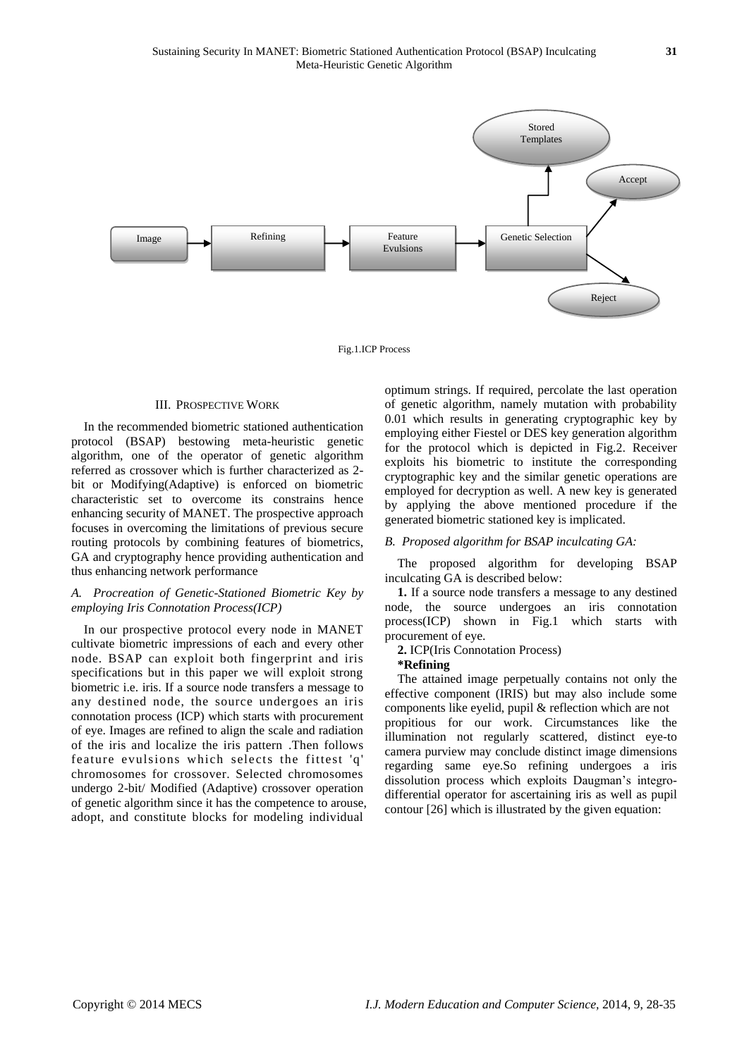

Fig.1.ICP Process

## III. PROSPECTIVE WORK

In the recommended biometric stationed authentication protocol (BSAP) bestowing meta-heuristic genetic algorithm, one of the operator of genetic algorithm referred as crossover which is further characterized as 2 bit or Modifying(Adaptive) is enforced on biometric characteristic set to overcome its constrains hence enhancing security of MANET. The prospective approach focuses in overcoming the limitations of previous secure routing protocols by combining features of biometrics, GA and cryptography hence providing authentication and thus enhancing network performance

#### *A. Procreation of Genetic-Stationed Biometric Key by employing Iris Connotation Process(ICP)*

In our prospective protocol every node in MANET cultivate biometric impressions of each and every other node. BSAP can exploit both fingerprint and iris specifications but in this paper we will exploit strong biometric i.e. iris. If a source node transfers a message to any destined node, the source undergoes an iris connotation process (ICP) which starts with procurement of eye. Images are refined to align the scale and radiation of the iris and localize the iris pattern .Then follows feature evulsions which selects the fittest 'q' chromosomes for crossover. Selected chromosomes undergo 2-bit/ Modified (Adaptive) crossover operation of genetic algorithm since it has the competence to arouse, adopt, and constitute blocks for modeling individual

optimum strings. If required, percolate the last operation of genetic algorithm, namely mutation with probability 0.01 which results in generating cryptographic key by employing either Fiestel or DES key generation algorithm for the protocol which is depicted in Fig.2. Receiver exploits his biometric to institute the corresponding cryptographic key and the similar genetic operations are employed for decryption as well. A new key is generated by applying the above mentioned procedure if the generated biometric stationed key is implicated.

#### *B. Proposed algorithm for BSAP inculcating GA:*

The proposed algorithm for developing BSAP inculcating GA is described below:

**1.** If a source node transfers a message to any destined node, the source undergoes an iris connotation process(ICP) shown in Fig.1 which starts with procurement of eye.

#### **2.** ICP(Iris Connotation Process)

#### **\*Refining**

The attained image perpetually contains not only the effective component (IRIS) but may also include some components like eyelid, pupil & reflection which are not propitious for our work. Circumstances like the illumination not regularly scattered, distinct eye-to camera purview may conclude distinct image dimensions regarding same eye.So refining undergoes a iris dissolution process which exploits Daugman's integrodifferential operator for ascertaining iris as well as pupil contour [26] which is illustrated by the given equation: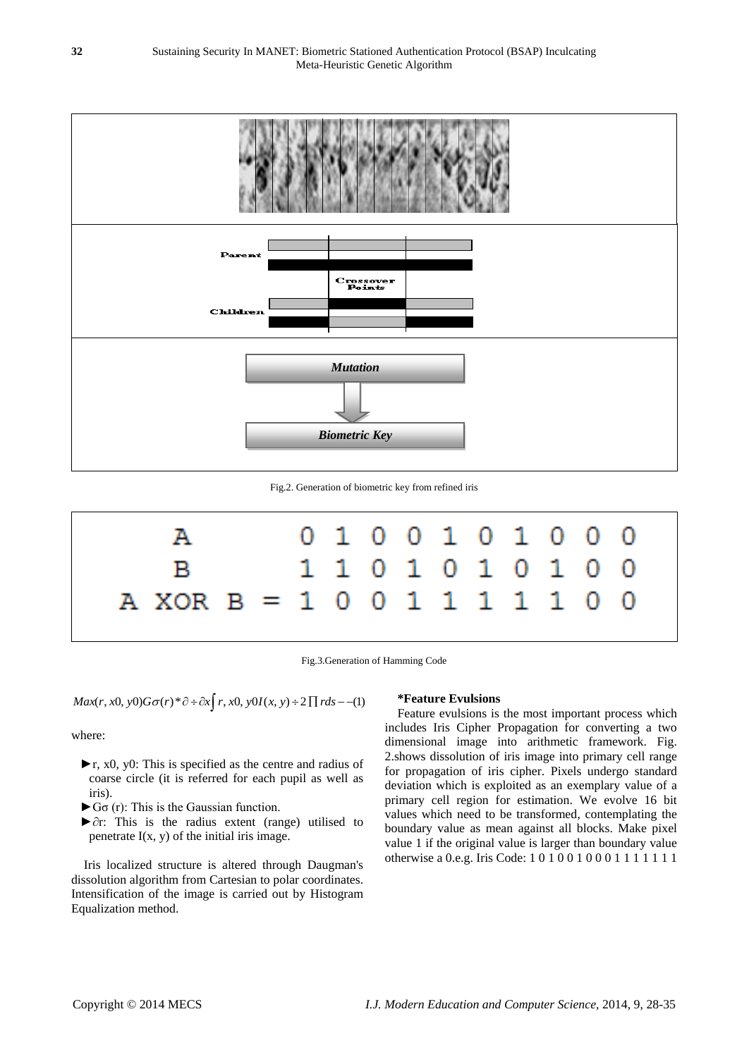

Fig.2. Generation of biometric key from refined iris



Fig.3.Generation of Hamming Code

 $Max(r, x0, y0)G\sigma(r)*\partial \div \partial x$   $\bigg(r, x0, y0I(x, y) \div 2 \prod r ds -1 \bigg)$ 

where:

- $\blacktriangleright$ r, x0, y0: This is specified as the centre and radius of coarse circle (it is referred for each pupil as well as iris).
- $\blacktriangleright$  G $\sigma$  (r): This is the Gaussian function.
- ►∂r: This is the radius extent (range) utilised to penetrate  $I(x, y)$  of the initial iris image.

Iris localized structure is altered through Daugman's dissolution algorithm from Cartesian to polar coordinates. Intensification of the image is carried out by Histogram Equalization method.

#### **\*Feature Evulsions**

Feature evulsions is the most important process which includes Iris Cipher Propagation for converting a two dimensional image into arithmetic framework. Fig. 2.shows dissolution of iris image into primary cell range for propagation of iris cipher. Pixels undergo standard deviation which is exploited as an exemplary value of a primary cell region for estimation. We evolve 16 bit values which need to be transformed, contemplating the boundary value as mean against all blocks. Make pixel value 1 if the original value is larger than boundary value otherwise a 0.e.g. Iris Code: 1 0 1 0 0 1 0 0 0 1 1 1 1 1 1 1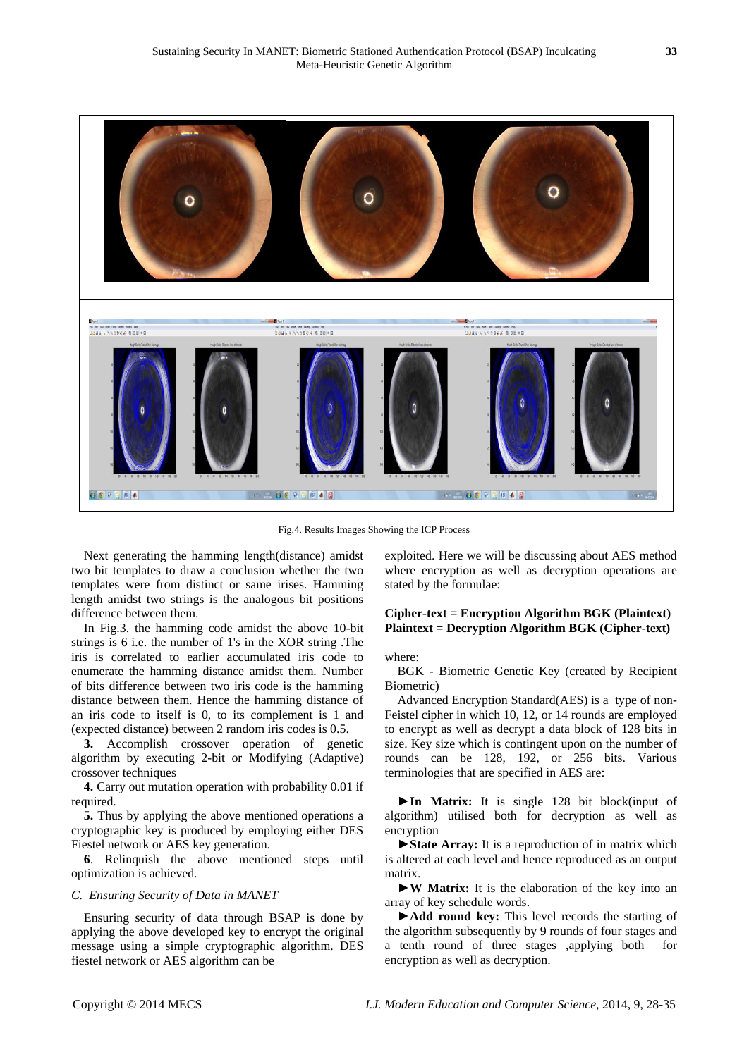

Fig.4. Results Images Showing the ICP Process

Next generating the hamming length(distance) amidst two bit templates to draw a conclusion whether the two templates were from distinct or same irises. Hamming length amidst two strings is the analogous bit positions difference between them.

In Fig.3. the hamming code amidst the above 10-bit strings is 6 i.e. the number of 1's in the XOR string .The iris is correlated to earlier accumulated iris code to enumerate the hamming distance amidst them. Number of bits difference between two iris code is the hamming distance between them. Hence the hamming distance of an iris code to itself is 0, to its complement is 1 and (expected distance) between 2 random iris codes is 0.5.

**3.** Accomplish crossover operation of genetic algorithm by executing 2-bit or Modifying (Adaptive) crossover techniques

**4.** Carry out mutation operation with probability 0.01 if required.

**5.** Thus by applying the above mentioned operations a cryptographic key is produced by employing either DES Fiestel network or AES key generation.

**6**. Relinquish the above mentioned steps until optimization is achieved.

#### *C. Ensuring Security of Data in MANET*

Ensuring security of data through BSAP is done by applying the above developed key to encrypt the original message using a simple cryptographic algorithm. DES fiestel network or AES algorithm can be

exploited. Here we will be discussing about AES method where encryption as well as decryption operations are stated by the formulae:

# **Cipher-text = Encryption Algorithm BGK (Plaintext) Plaintext = Decryption Algorithm BGK (Cipher-text)**

where:

BGK - Biometric Genetic Key (created by Recipient Biometric)

Advanced Encryption Standard(AES) is a type of non-Feistel cipher in which 10, 12, or 14 rounds are employed to encrypt as well as decrypt a data block of 128 bits in size. Key size which is contingent upon on the number of rounds can be 128, 192, or 256 bits. Various terminologies that are specified in AES are:

►**In Matrix:** It is single 128 bit block(input of algorithm) utilised both for decryption as well as encryption

►**State Array:** It is a reproduction of in matrix which is altered at each level and hence reproduced as an output matrix.

►**W Matrix:** It is the elaboration of the key into an array of key schedule words.

►**Add round key:** This level records the starting of the algorithm subsequently by 9 rounds of four stages and a tenth round of three stages ,applying both for encryption as well as decryption.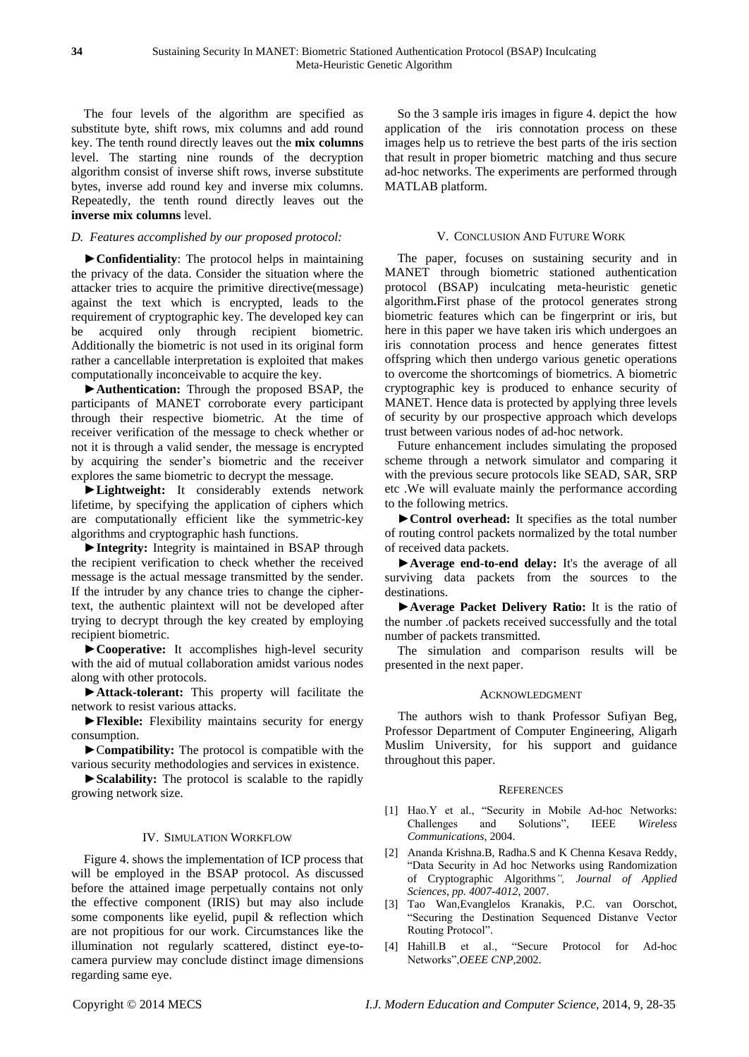The four levels of the algorithm are specified as substitute byte, shift rows, mix columns and add round key. The tenth round directly leaves out the **mix columns**  level. The starting nine rounds of the decryption algorithm consist of inverse shift rows, inverse substitute bytes, inverse add round key and inverse mix columns. Repeatedly, the tenth round directly leaves out the **inverse mix columns** level.

# *D. Features accomplished by our proposed protocol:*

**►Confidentiality**: The protocol helps in maintaining the privacy of the data. Consider the situation where the attacker tries to acquire the primitive directive(message) against the text which is encrypted, leads to the requirement of cryptographic key. The developed key can be acquired only through recipient biometric. Additionally the biometric is not used in its original form rather a cancellable interpretation is exploited that makes computationally inconceivable to acquire the key.

**►Authentication:** Through the proposed BSAP, the participants of MANET corroborate every participant through their respective biometric. At the time of receiver verification of the message to check whether or not it is through a valid sender, the message is encrypted by acquiring the sender's biometric and the receiver explores the same biometric to decrypt the message.

**►Lightweight:** It considerably extends network lifetime, by specifying the application of ciphers which are computationally efficient like the symmetric-key algorithms and cryptographic hash functions.

**►Integrity:** Integrity is maintained in BSAP through the recipient verification to check whether the received message is the actual message transmitted by the sender. If the intruder by any chance tries to change the ciphertext, the authentic plaintext will not be developed after trying to decrypt through the key created by employing recipient biometric.

**►Cooperative:** It accomplishes high-level security with the aid of mutual collaboration amidst various nodes along with other protocols.

►**Attack-tolerant:** This property will facilitate the network to resist various attacks.

►**Flexible:** Flexibility maintains security for energy consumption.

►C**ompatibility:** The protocol is compatible with the various security methodologies and services in existence.

**►Scalability:** The protocol is scalable to the rapidly growing network size.

#### IV. SIMULATION WORKFLOW

Figure 4. shows the implementation of ICP process that will be employed in the BSAP protocol. As discussed before the attained image perpetually contains not only the effective component (IRIS) but may also include some components like eyelid, pupil & reflection which are not propitious for our work. Circumstances like the illumination not regularly scattered, distinct eye-tocamera purview may conclude distinct image dimensions regarding same eye.

So the 3 sample iris images in figure 4. depict the how application of the iris connotation process on these images help us to retrieve the best parts of the iris section that result in proper biometric matching and thus secure ad-hoc networks. The experiments are performed through MATLAB platform.

#### V. CONCLUSION AND FUTURE WORK

The paper, focuses on sustaining security and in MANET through biometric stationed authentication protocol (BSAP) inculcating meta-heuristic genetic algorithm**.**First phase of the protocol generates strong biometric features which can be fingerprint or iris, but here in this paper we have taken iris which undergoes an iris connotation process and hence generates fittest offspring which then undergo various genetic operations to overcome the shortcomings of biometrics. A biometric cryptographic key is produced to enhance security of MANET. Hence data is protected by applying three levels of security by our prospective approach which develops trust between various nodes of ad-hoc network.

Future enhancement includes simulating the proposed scheme through a network simulator and comparing it with the previous secure protocols like SEAD, SAR, SRP etc .We will evaluate mainly the performance according to the following metrics.

**►Control overhead:** It specifies as the total number of routing control packets normalized by the total number of received data packets.

**►Average end-to-end delay:** It's the average of all surviving data packets from the sources to the destinations.

**►Average Packet Delivery Ratio:** It is the ratio of the number .of packets received successfully and the total number of packets transmitted.

The simulation and comparison results will be presented in the next paper.

#### ACKNOWLEDGMENT

The authors wish to thank Professor Sufiyan Beg, Professor Department of Computer Engineering, Aligarh Muslim University, for his support and guidance throughout this paper.

#### **REFERENCES**

- [1] Hao.Y et al., "Security in Mobile Ad-hoc Networks: Challenges and Solutions", IEEE *Wireless Communications,* 2004.
- [2] Ananda Krishna.B, Radha.S and K Chenna Kesava Reddy, "Data Security in Ad hoc Networks using Randomization of Cryptographic Algorithms*", Journal of Applied Sciences, pp. 4007-4012*, 2007.
- [3] Tao Wan,Evanglelos Kranakis, P.C. van Oorschot, "Securing the Destination Sequenced Distanve Vector Routing Protocol".
- [4] Hahill.B et al., "Secure Protocol for Ad-hoc Networks",*OEEE CNP*,2002.